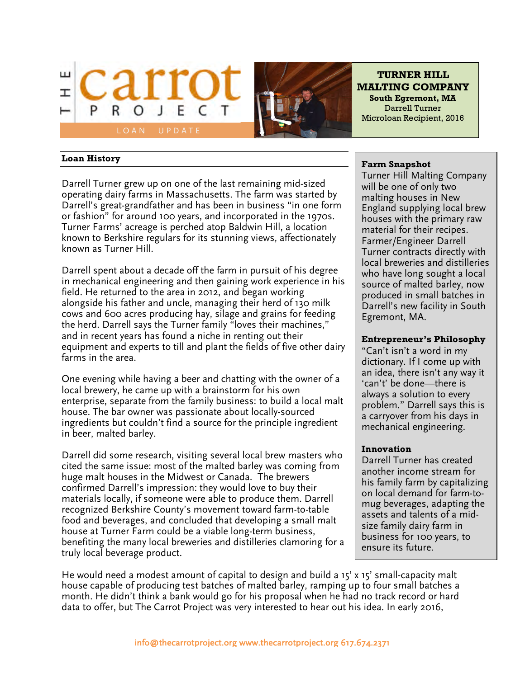



**TURNER HILL MALTING COMPANY South Egremont, MA** Darrell Turner Microloan Recipient, 2016

#### **Loan History**

Darrell Turner grew up on one of the last remaining mid-sized operating dairy farms in Massachusetts. The farm was started by Darrell's great-grandfather and has been in business "in one form or fashion" for around 100 years, and incorporated in the 1970s. Turner Farms' acreage is perched atop Baldwin Hill, a location known to Berkshire regulars for its stunning views, affectionately known as Turner Hill.

Darrell spent about a decade off the farm in pursuit of his degree in mechanical engineering and then gaining work experience in his field. He returned to the area in 2012, and began working alongside his father and uncle, managing their herd of 130 milk cows and 600 acres producing hay, silage and grains for feeding the herd. Darrell says the Turner family "loves their machines," and in recent years has found a niche in renting out their equipment and experts to till and plant the fields of five other dairy farms in the area.

One evening while having a beer and chatting with the owner of a local brewery, he came up with a brainstorm for his own enterprise, separate from the family business: to build a local malt house. The bar owner was passionate about locally-sourced ingredients but couldn't find a source for the principle ingredient in beer, malted barley.

Darrell did some research, visiting several local brew masters who cited the same issue: most of the malted barley was coming from huge malt houses in the Midwest or Canada. The brewers confirmed Darrell's impression: they would love to buy their materials locally, if someone were able to produce them. Darrell recognized Berkshire County's movement toward farm-to-table food and beverages, and concluded that developing a small malt house at Turner Farm could be a viable long-term business, benefiting the many local breweries and distilleries clamoring for a truly local beverage product.

### **Farm Snapshot**

Turner Hill Malting Company will be one of only two malting houses in New England supplying local brew houses with the primary raw material for their recipes. Farmer/Engineer Darrell Turner contracts directly with local breweries and distilleries who have long sought a local source of malted barley, now produced in small batches in Darrell's new facility in South Egremont, MA.

# **Entrepreneur's Philosophy**

"Can't isn't a word in my dictionary. If I come up with an idea, there isn't any way it 'can't' be done—there is always a solution to every problem." Darrell says this is a carryover from his days in mechanical engineering.

# **Innovation**

Darrell Turner has created another income stream for his family farm by capitalizing on local demand for farm-tomug beverages, adapting the assets and talents of a midsize family dairy farm in business for 100 years, to ensure its future.

He would need a modest amount of capital to design and build a 15' x 15' small-capacity malt house capable of producing test batches of malted barley, ramping up to four small batches a month. He didn't think a bank would go for his proposal when he had no track record or hard data to offer, but The Carrot Project was very interested to hear out his idea. In early 2016,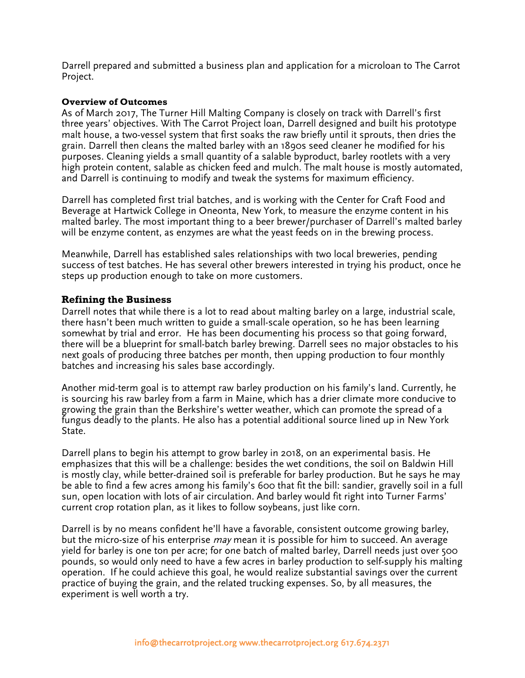Darrell prepared and submitted a business plan and application for a microloan to The Carrot Project.

#### **Overview of Outcomes**

As of March 2017, The Turner Hill Malting Company is closely on track with Darrell's first three years' objectives. With The Carrot Project loan, Darrell designed and built his prototype malt house, a two-vessel system that first soaks the raw briefly until it sprouts, then dries the grain. Darrell then cleans the malted barley with an 1890s seed cleaner he modified for his purposes. Cleaning yields a small quantity of a salable byproduct, barley rootlets with a very high protein content, salable as chicken feed and mulch. The malt house is mostly automated, and Darrell is continuing to modify and tweak the systems for maximum efficiency.

Darrell has completed first trial batches, and is working with the Center for Craft Food and Beverage at Hartwick College in Oneonta, New York, to measure the enzyme content in his malted barley. The most important thing to a beer brewer/purchaser of Darrell's malted barley will be enzyme content, as enzymes are what the yeast feeds on in the brewing process.

Meanwhile, Darrell has established sales relationships with two local breweries, pending success of test batches. He has several other brewers interested in trying his product, once he steps up production enough to take on more customers.

# **Refining the Business**

Darrell notes that while there is a lot to read about malting barley on a large, industrial scale, there hasn't been much written to guide a small-scale operation, so he has been learning somewhat by trial and error. He has been documenting his process so that going forward, there will be a blueprint for small-batch barley brewing. Darrell sees no major obstacles to his next goals of producing three batches per month, then upping production to four monthly batches and increasing his sales base accordingly.

Another mid-term goal is to attempt raw barley production on his family's land. Currently, he is sourcing his raw barley from a farm in Maine, which has a drier climate more conducive to growing the grain than the Berkshire's wetter weather, which can promote the spread of a fungus deadly to the plants. He also has a potential additional source lined up in New York State.

Darrell plans to begin his attempt to grow barley in 2018, on an experimental basis. He emphasizes that this will be a challenge: besides the wet conditions, the soil on Baldwin Hill is mostly clay, while better-drained soil is preferable for barley production. But he says he may be able to find a few acres among his family's 600 that fit the bill: sandier, gravelly soil in a full sun, open location with lots of air circulation. And barley would fit right into Turner Farms' current crop rotation plan, as it likes to follow soybeans, just like corn.

Darrell is by no means confident he'll have a favorable, consistent outcome growing barley, but the micro-size of his enterprise *may* mean it is possible for him to succeed. An average yield for barley is one ton per acre; for one batch of malted barley, Darrell needs just over 500 pounds, so would only need to have a few acres in barley production to self-supply his malting operation. If he could achieve this goal, he would realize substantial savings over the current practice of buying the grain, and the related trucking expenses. So, by all measures, the experiment is well worth a try.